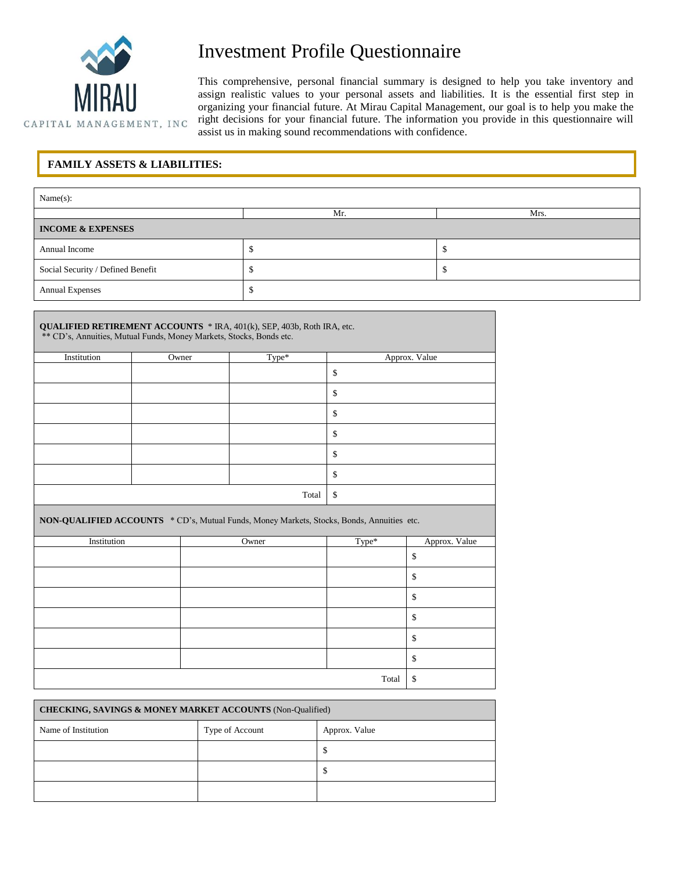

## Investment Profile Questionnaire

This comprehensive, personal financial summary is designed to help you take inventory and assign realistic values to your personal assets and liabilities. It is the essential first step in organizing your financial future. At Mirau Capital Management, our goal is to help you make the right decisions for your financial future. The information you provide in this questionnaire will assist us in making sound recommendations with confidence.

## **FAMILY ASSETS & LIABILITIES:**

| Name(s):                          |     |      |  |  |  |
|-----------------------------------|-----|------|--|--|--|
|                                   | Mr. | Mrs. |  |  |  |
| <b>INCOME &amp; EXPENSES</b>      |     |      |  |  |  |
| Annual Income                     |     |      |  |  |  |
| Social Security / Defined Benefit |     |      |  |  |  |
| Annual Expenses                   |     |      |  |  |  |

| <b>QUALIFIED RETIREMENT ACCOUNTS</b> * IRA, 401(k), SEP, 403b, Roth IRA, etc.<br>** CD's, Annuities, Mutual Funds, Money Markets, Stocks, Bonds etc. |       |       |               |  |  |
|------------------------------------------------------------------------------------------------------------------------------------------------------|-------|-------|---------------|--|--|
| Institution                                                                                                                                          | Owner | Type* | Approx. Value |  |  |
|                                                                                                                                                      |       |       | \$            |  |  |
|                                                                                                                                                      |       |       | \$            |  |  |
|                                                                                                                                                      |       |       | \$            |  |  |
|                                                                                                                                                      |       |       | \$            |  |  |
|                                                                                                                                                      |       |       | \$            |  |  |
|                                                                                                                                                      |       |       | \$            |  |  |
|                                                                                                                                                      |       | Total | \$            |  |  |

**NON-QUALIFIED ACCOUNTS** \* CD's, Mutual Funds, Money Markets, Stocks, Bonds, Annuities etc.

| Institution | Owner | Type* | Approx. Value |
|-------------|-------|-------|---------------|
|             |       |       | \$            |
|             |       |       | \$            |
|             |       |       | \$            |
|             |       |       | \$            |
|             |       |       | \$            |
|             |       |       | \$            |
|             |       | Total | -\$           |

| <b>CHECKING, SAVINGS &amp; MONEY MARKET ACCOUNTS (Non-Qualified)</b> |                 |               |  |  |
|----------------------------------------------------------------------|-----------------|---------------|--|--|
| Name of Institution                                                  | Type of Account | Approx. Value |  |  |
|                                                                      |                 | Φ             |  |  |
|                                                                      |                 | Φ             |  |  |
|                                                                      |                 |               |  |  |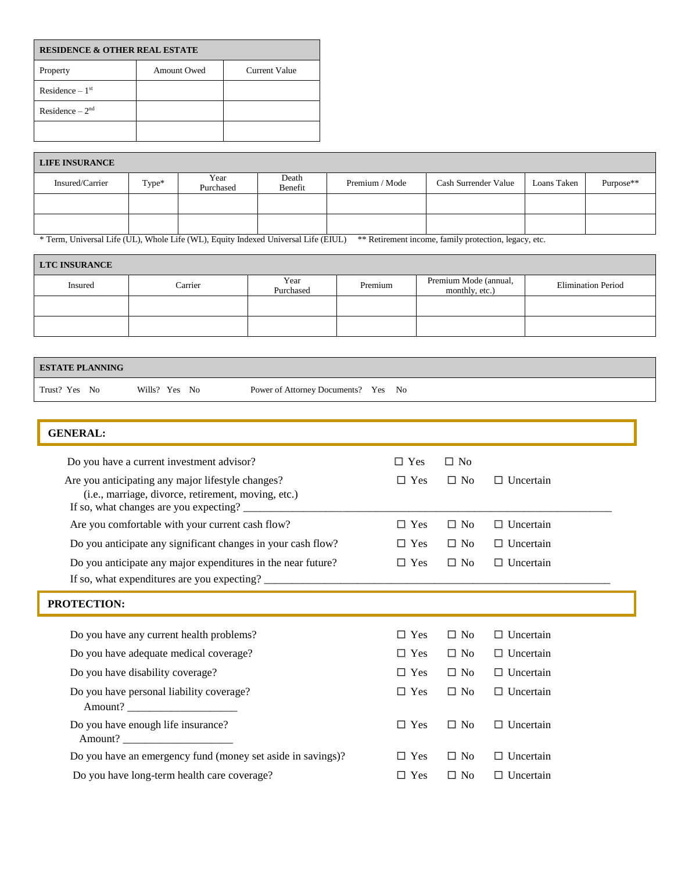| <b>RESIDENCE &amp; OTHER REAL ESTATE</b> |             |               |  |  |  |
|------------------------------------------|-------------|---------------|--|--|--|
| Property                                 | Amount Owed | Current Value |  |  |  |
| Residence $-1st$                         |             |               |  |  |  |
| Residence $-2nd$                         |             |               |  |  |  |
|                                          |             |               |  |  |  |

| <b>LIFE INSURANCE</b> |       |                   |                  |                |                      |             |           |
|-----------------------|-------|-------------------|------------------|----------------|----------------------|-------------|-----------|
| Insured/Carrier       | Type* | Year<br>Purchased | Death<br>Benefit | Premium / Mode | Cash Surrender Value | Loans Taken | Purpose** |
|                       |       |                   |                  |                |                      |             |           |
|                       |       |                   |                  |                |                      |             |           |

\* Term, Universal Life (UL), Whole Life (WL), Equity Indexed Universal Life (EIUL) \*\* Retirement income, family protection, legacy, etc.

| <b>LTC INSURANCE</b> |         |                   |         |                                         |                           |
|----------------------|---------|-------------------|---------|-----------------------------------------|---------------------------|
| Insured              | Carrier | Year<br>Purchased | Premium | Premium Mode (annual,<br>monthly, etc.) | <b>Elimination Period</b> |
|                      |         |                   |         |                                         |                           |
|                      |         |                   |         |                                         |                           |

| <b>ESTATE PLANNING</b>                                       |                                                                                                                                                    |                                             |            |           |                  |  |
|--------------------------------------------------------------|----------------------------------------------------------------------------------------------------------------------------------------------------|---------------------------------------------|------------|-----------|------------------|--|
| Trust? Yes No                                                | Wills? Yes No                                                                                                                                      | Power of Attorney Documents? Yes            | No         |           |                  |  |
|                                                              |                                                                                                                                                    |                                             |            |           |                  |  |
| <b>GENERAL:</b>                                              |                                                                                                                                                    |                                             |            |           |                  |  |
|                                                              | Do you have a current investment advisor?                                                                                                          |                                             | $\Box$ Yes | $\Box$ No |                  |  |
|                                                              | Are you anticipating any major lifestyle changes?<br>(i.e., marriage, divorce, retirement, moving, etc.)<br>If so, what changes are you expecting? |                                             | $\Box$ Yes | $\Box$ No | $\Box$ Uncertain |  |
|                                                              | Are you comfortable with your current cash flow?                                                                                                   |                                             | $\Box$ Yes | $\Box$ No | $\Box$ Uncertain |  |
| Do you anticipate any significant changes in your cash flow? |                                                                                                                                                    |                                             | $\Box$ Yes | $\Box$ No | $\Box$ Uncertain |  |
| Do you anticipate any major expenditures in the near future? |                                                                                                                                                    |                                             |            | $\Box$ No | $\Box$ Uncertain |  |
|                                                              |                                                                                                                                                    | If so, what expenditures are you expecting? |            |           |                  |  |

| Do you have any current health problems?                    | $\Box$ Yes | $\Box$ No | $\Box$ Uncertain |
|-------------------------------------------------------------|------------|-----------|------------------|
| Do you have adequate medical coverage?                      | $\Box$ Yes | $\Box$ No | $\Box$ Uncertain |
| Do you have disability coverage?                            | $\Box$ Yes | $\Box$ No | $\Box$ Uncertain |
| Do you have personal liability coverage?<br>Amount?         | $\Box$ Yes | $\Box$ No | $\Box$ Uncertain |
| Do you have enough life insurance?<br>Amount?               | $\Box$ Yes | $\Box$ No | $\Box$ Uncertain |
| Do you have an emergency fund (money set aside in savings)? | $\Box$ Yes | $\Box$ No | $\Box$ Uncertain |
| Do you have long-term health care coverage?                 | $\Box$ Yes | $\Box$ No | $\Box$ Uncertain |